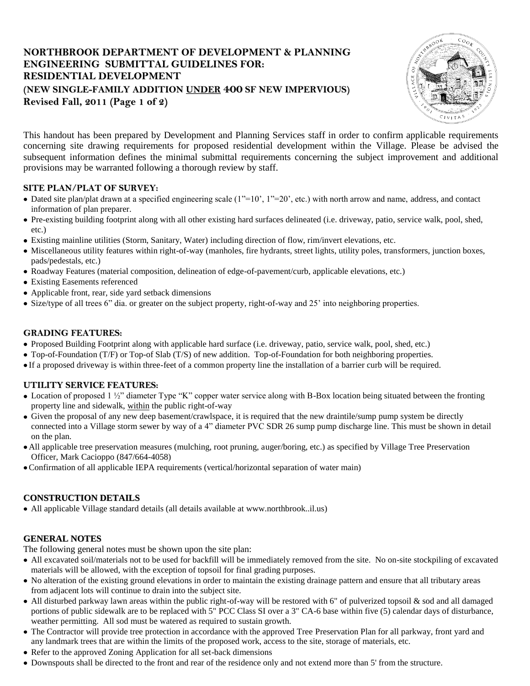# **NORTHBROOK DEPARTMENT OF DEVELOPMENT & PLANNING ENGINEERING SUBMITTAL GUIDELINES FOR: RESIDENTIAL DEVELOPMENT (NEW SINGLE-FAMILY ADDITION UNDER 400 SF NEW IMPERVIOUS) Revised Fall, 2011 (Page 1 of 2)**



This handout has been prepared by Development and Planning Services staff in order to confirm applicable requirements concerning site drawing requirements for proposed residential development within the Village. Please be advised the subsequent information defines the minimal submittal requirements concerning the subject improvement and additional provisions may be warranted following a thorough review by staff.

## **SITE PLAN/PLAT OF SURVEY:**

- Dated site plan/plat drawn at a specified engineering scale  $(1"=10", 1"=20",$  etc.) with north arrow and name, address, and contact information of plan preparer.
- Pre-existing building footprint along with all other existing hard surfaces delineated (i.e. driveway, patio, service walk, pool, shed, etc.)
- Existing mainline utilities (Storm, Sanitary, Water) including direction of flow, rim/invert elevations, etc.
- Miscellaneous utility features within right-of-way (manholes, fire hydrants, street lights, utility poles, transformers, junction boxes, pads/pedestals, etc.)
- Roadway Features (material composition, delineation of edge-of-pavement/curb, applicable elevations, etc.)
- Existing Easements referenced
- Applicable front, rear, side yard setback dimensions
- Size/type of all trees 6" dia. or greater on the subject property, right-of-way and 25' into neighboring properties.

## **GRADING FEATURES:**

- Proposed Building Footprint along with applicable hard surface (i.e. driveway, patio, service walk, pool, shed, etc.)
- Top-of-Foundation (T/F) or Top-of Slab (T/S) of new addition. Top-of-Foundation for both neighboring properties.
- If a proposed driveway is within three-feet of a common property line the installation of a barrier curb will be required.

## **UTILITY SERVICE FEATURES:**

- Location of proposed 1  $\frac{1}{2}$ " diameter Type "K" copper water service along with B-Box location being situated between the fronting property line and sidewalk, within the public right-of-way
- Given the proposal of any new deep basement/crawlspace, it is required that the new draintile/sump pump system be directly connected into a Village storm sewer by way of a 4" diameter PVC SDR 26 sump pump discharge line. This must be shown in detail on the plan.
- All applicable tree preservation measures (mulching, root pruning, auger/boring, etc.) as specified by Village Tree Preservation Officer, Mark Cacioppo (847/664-4058)
- Confirmation of all applicable IEPA requirements (vertical/horizontal separation of water main)

## **CONSTRUCTION DETAILS**

All applicable Village standard details (all details available at [www.northbrook..il.us\)](http://www.northbrook..il.us/)

## **GENERAL NOTES**

The following general notes must be shown upon the site plan:

- All excavated soil/materials not to be used for backfill will be immediately removed from the site. No on-site stockpiling of excavated materials will be allowed, with the exception of topsoil for final grading purposes.
- No alteration of the existing ground elevations in order to maintain the existing drainage pattern and ensure that all tributary areas from adjacent lots will continue to drain into the subject site.
- All disturbed parkway lawn areas within the public right-of-way will be restored with 6" of pulverized topsoil & sod and all damaged portions of public sidewalk are to be replaced with 5" PCC Class SI over a 3" CA-6 base within five (5) calendar days of disturbance, weather permitting. All sod must be watered as required to sustain growth.
- The Contractor will provide tree protection in accordance with the approved Tree Preservation Plan for all parkway, front yard and any landmark trees that are within the limits of the proposed work, access to the site, storage of materials, etc.
- Refer to the approved Zoning Application for all set-back dimensions
- Downspouts shall be directed to the front and rear of the residence only and not extend more than 5' from the structure.